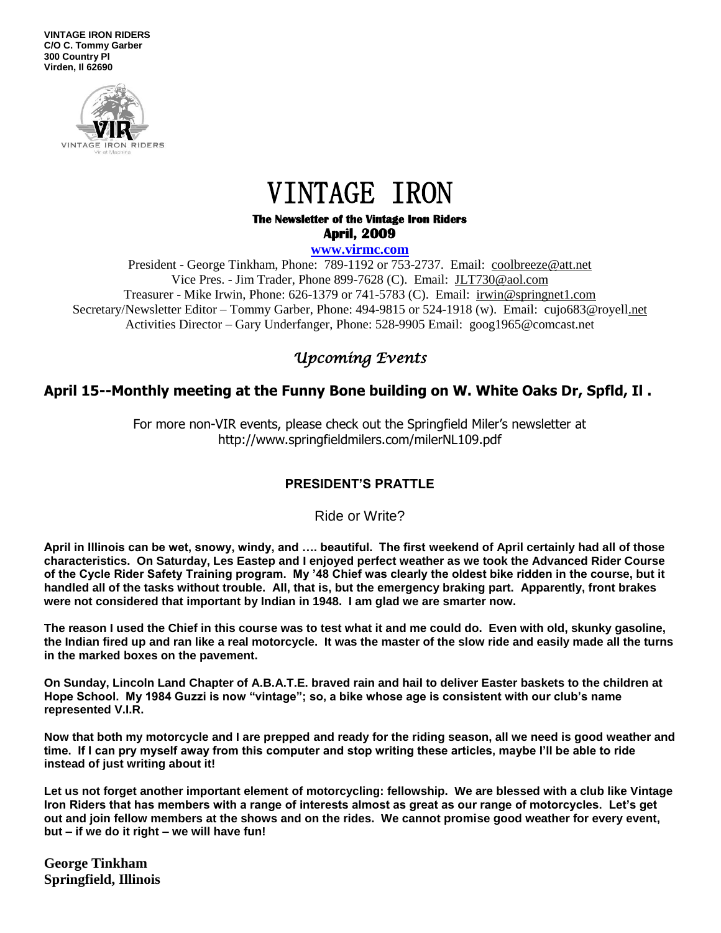**VINTAGE IRON RIDERS C/O C. Tommy Garber 300 Country Pl Virden, Il 62690**



# VINTAGE IRON

#### **The Newsletter of the Vintage Iron Riders April, 2009**

**www.virmc.com** 

President - George Tinkham, Phone: 789-1192 or 753-2737. Email: [coolbreeze@att.net](mailto:coolbreeze@att.net) Vice Pres. - Jim Trader, Phone 899-7628 (C). Email: [JLT730@aol.com](mailto:JLT730@aol.com) Treasurer - Mike Irwin, Phone: 626-1379 or 741-5783 (C). Email: irwin@springnet1.com Secretary/Newsletter Editor – Tommy Garber, Phone: 494-9815 or 524-1918 (w). Email: cujo683@royell.net Activities Director – Gary Underfanger, Phone: 528-9905 Email: goog1965@comcast.net

## *Upcoming Events*

## **April 15--Monthly meeting at the Funny Bone building on W. White Oaks Dr, Spfld, Il .**

For more non-VIR events, please check out the Springfield Miler's newsletter at http://www.springfieldmilers.com/milerNL109.pdf

### **PRESIDENT'S PRATTLE**

Ride or Write?

**April in Illinois can be wet, snowy, windy, and …. beautiful. The first weekend of April certainly had all of those characteristics. On Saturday, Les Eastep and I enjoyed perfect weather as we took the Advanced Rider Course of the Cycle Rider Safety Training program. My '48 Chief was clearly the oldest bike ridden in the course, but it handled all of the tasks without trouble. All, that is, but the emergency braking part. Apparently, front brakes were not considered that important by Indian in 1948. I am glad we are smarter now.**

**The reason I used the Chief in this course was to test what it and me could do. Even with old, skunky gasoline, the Indian fired up and ran like a real motorcycle. It was the master of the slow ride and easily made all the turns in the marked boxes on the pavement.** 

**On Sunday, Lincoln Land Chapter of A.B.A.T.E. braved rain and hail to deliver Easter baskets to the children at Hope School. My 1984 Guzzi is now "vintage"; so, a bike whose age is consistent with our club's name represented V.I.R.**

**Now that both my motorcycle and I are prepped and ready for the riding season, all we need is good weather and time. If I can pry myself away from this computer and stop writing these articles, maybe I'll be able to ride instead of just writing about it!**

**Let us not forget another important element of motorcycling: fellowship. We are blessed with a club like Vintage Iron Riders that has members with a range of interests almost as great as our range of motorcycles. Let's get out and join fellow members at the shows and on the rides. We cannot promise good weather for every event, but – if we do it right – we will have fun!**

**George Tinkham Springfield, Illinois**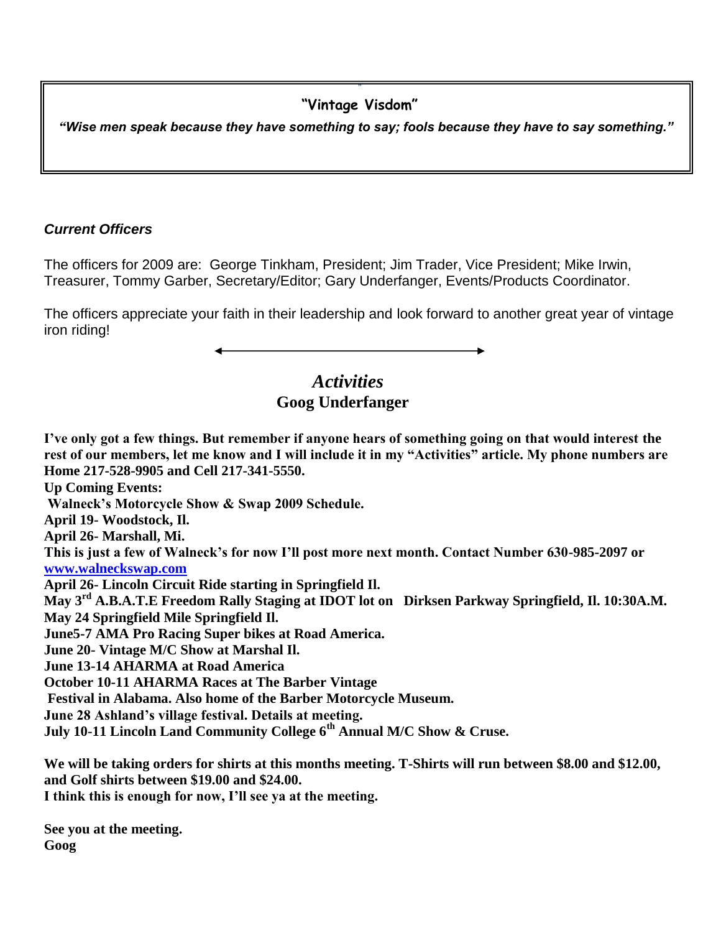#### " **"Vintage Visdom"**

 *"Wise men speak because they have something to say; fools because they have to say something."*

## *Current Officers*

The officers for 2009 are: George Tinkham, President; Jim Trader, Vice President; Mike Irwin, Treasurer, Tommy Garber, Secretary/Editor; Gary Underfanger, Events/Products Coordinator.

The officers appreciate your faith in their leadership and look forward to another great year of vintage iron riding!

## *Activities*  **Goog Underfanger**

**I've only got a few things. But remember if anyone hears of something going on that would interest the rest of our members, let me know and I will include it in my "Activities" article. My phone numbers are Home 217-528-9905 and Cell 217-341-5550. Up Coming Events: Walneck's Motorcycle Show & Swap 2009 Schedule. April 19- Woodstock, Il. April 26- Marshall, Mi. This is just a few of Walneck's for now I'll post more next month. Contact Number 630-985-2097 or [www.walneckswap.com](http://www.walneckswap.com/) April 26- Lincoln Circuit Ride starting in Springfield Il. May 3rd A.B.A.T.E Freedom Rally Staging at IDOT lot on Dirksen Parkway Springfield, Il. 10:30A.M. May 24 Springfield Mile Springfield Il. June5-7 AMA Pro Racing Super bikes at Road America. June 20- Vintage M/C Show at Marshal Il. June 13-14 AHARMA at Road America October 10-11 AHARMA Races at The Barber Vintage Festival in Alabama. Also home of the Barber Motorcycle Museum. June 28 Ashland's village festival. Details at meeting. July 10-11 Lincoln Land Community College 6th Annual M/C Show & Cruse. We will be taking orders for shirts at this months meeting. T-Shirts will run between \$8.00 and \$12.00,** 

**and Golf shirts between \$19.00 and \$24.00.**

**I think this is enough for now, I'll see ya at the meeting.**

**See you at the meeting. Goog**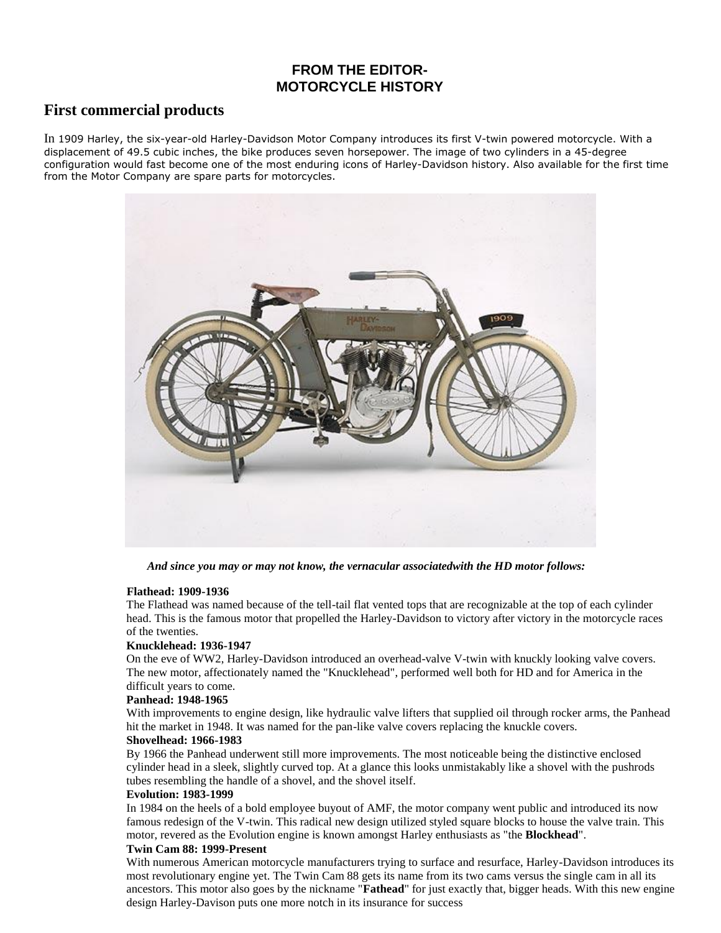## **FROM THE EDITOR-MOTORCYCLE HISTORY**

### **First commercial products**

In 1909 Harley, the six-year-old Harley-Davidson Motor Company introduces its first V-twin powered motorcycle. With a displacement of 49.5 cubic inches, the bike produces seven horsepower. The image of two cylinders in a 45-degree configuration would fast become one of the most enduring icons of Harley-Davidson history. Also available for the first time from the Motor Company are spare parts for motorcycles.



 *And since you may or may not know, the vernacular associatedwith the HD motor follows:* 

#### **Flathead: 1909-1936**

The Flathead was named because of the tell-tail flat vented tops that are recognizable at the top of each cylinder head. This is the famous motor that propelled the Harley-Davidson to victory after victory in the motorcycle races of the twenties.

#### **Knucklehead: 1936-1947**

On the eve of WW2, Harley-Davidson introduced an overhead-valve V-twin with knuckly looking valve covers. The new motor, affectionately named the "Knucklehead", performed well both for HD and for America in the difficult years to come.

#### **Panhead: 1948-1965**

With improvements to engine design, like hydraulic valve lifters that supplied oil through rocker arms, the Panhead hit the market in 1948. It was named for the pan-like valve covers replacing the knuckle covers.

#### **Shovelhead: 1966-1983**

By 1966 the Panhead underwent still more improvements. The most noticeable being the distinctive enclosed cylinder head in a sleek, slightly curved top. At a glance this looks unmistakably like a shovel with the pushrods tubes resembling the handle of a shovel, and the shovel itself.

#### **Evolution: 1983-1999**

In 1984 on the heels of a bold employee buyout of AMF, the motor company went public and introduced its now famous redesign of the V-twin. This radical new design utilized styled square blocks to house the valve train. This motor, revered as the Evolution engine is known amongst Harley enthusiasts as "the **Blockhead**".

#### **Twin Cam 88: 1999-Present**

With numerous American motorcycle manufacturers trying to surface and resurface, Harley-Davidson introduces its most revolutionary engine yet. The Twin Cam 88 gets its name from its two cams versus the single cam in all its ancestors. This motor also goes by the nickname "**Fathead**" for just exactly that, bigger heads. With this new engine design Harley-Davison puts one more notch in its insurance for success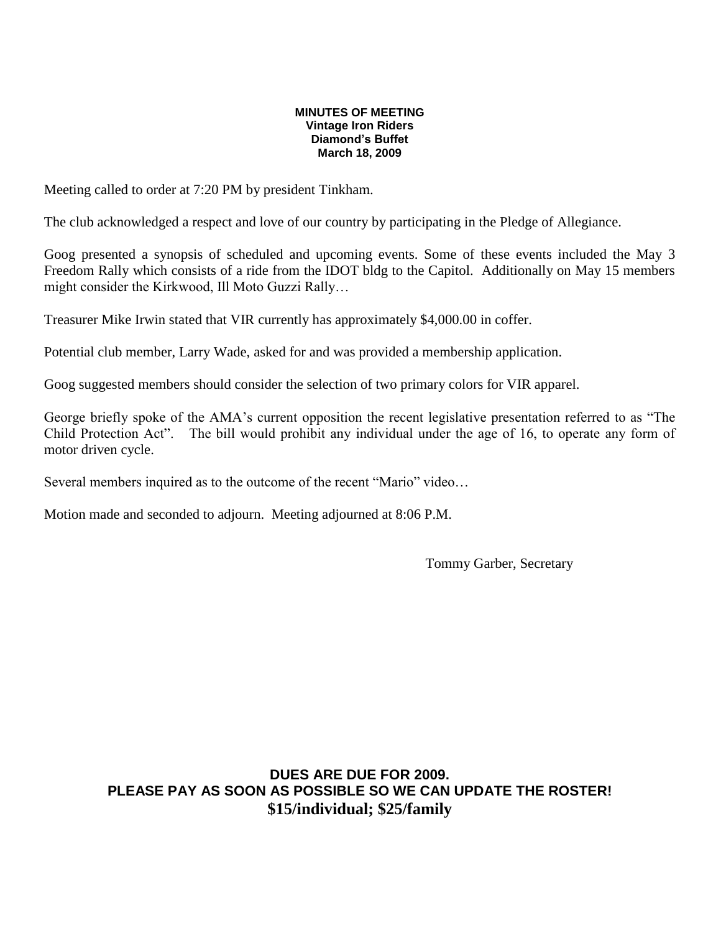#### **MINUTES OF MEETING Vintage Iron Riders Diamond's Buffet March 18, 2009**

Meeting called to order at 7:20 PM by president Tinkham.

The club acknowledged a respect and love of our country by participating in the Pledge of Allegiance.

Goog presented a synopsis of scheduled and upcoming events. Some of these events included the May 3 Freedom Rally which consists of a ride from the IDOT bldg to the Capitol. Additionally on May 15 members might consider the Kirkwood, Ill Moto Guzzi Rally…

Treasurer Mike Irwin stated that VIR currently has approximately \$4,000.00 in coffer.

Potential club member, Larry Wade, asked for and was provided a membership application.

Goog suggested members should consider the selection of two primary colors for VIR apparel.

George briefly spoke of the AMA's current opposition the recent legislative presentation referred to as "The Child Protection Act". The bill would prohibit any individual under the age of 16, to operate any form of motor driven cycle.

Several members inquired as to the outcome of the recent "Mario" video…

Motion made and seconded to adjourn. Meeting adjourned at 8:06 P.M.

Tommy Garber, Secretary

**DUES ARE DUE FOR 2009. PLEASE PAY AS SOON AS POSSIBLE SO WE CAN UPDATE THE ROSTER! \$15/individual; \$25/family**